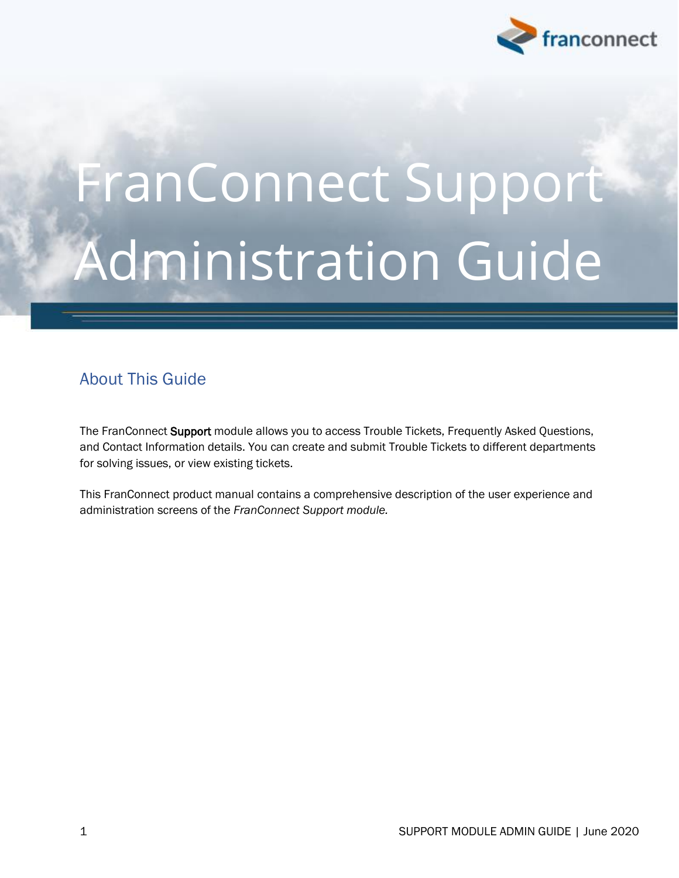

# FranConnect Support Administration Guide

## <span id="page-0-0"></span>About This Guide

The FranConnect Support module allows you to access Trouble Tickets, Frequently Asked Questions, and Contact Information details. You can create and submit Trouble Tickets to different departments for solving issues, or view existing tickets.

This FranConnect product manual contains a comprehensive description of the user experience and administration screens of the *FranConnect Support module.*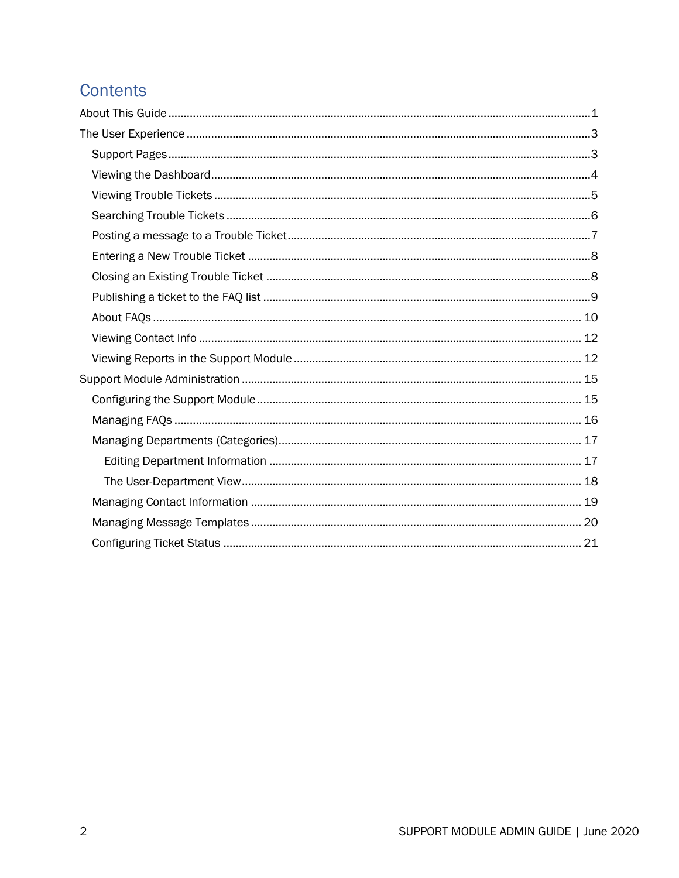## **Contents**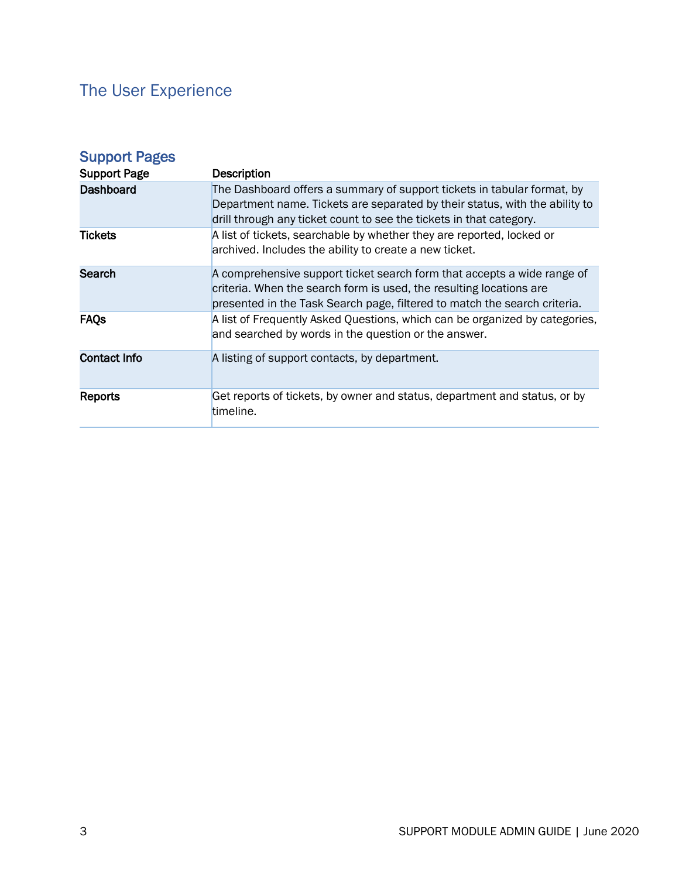# <span id="page-2-0"></span>The User Experience

<span id="page-2-1"></span>

| <b>Support Pages</b> |                                                                                                                                                                                                                               |
|----------------------|-------------------------------------------------------------------------------------------------------------------------------------------------------------------------------------------------------------------------------|
| <b>Support Page</b>  | <b>Description</b>                                                                                                                                                                                                            |
| Dashboard            | The Dashboard offers a summary of support tickets in tabular format, by<br>Department name. Tickets are separated by their status, with the ability to<br>drill through any ticket count to see the tickets in that category. |
| <b>Tickets</b>       | A list of tickets, searchable by whether they are reported, locked or<br>archived. Includes the ability to create a new ticket.                                                                                               |
| Search               | A comprehensive support ticket search form that accepts a wide range of<br>criteria. When the search form is used, the resulting locations are<br>presented in the Task Search page, filtered to match the search criteria.   |
| <b>FAQs</b>          | A list of Frequently Asked Questions, which can be organized by categories,<br>and searched by words in the question or the answer.                                                                                           |
| <b>Contact Info</b>  | A listing of support contacts, by department.                                                                                                                                                                                 |
| Reports              | Get reports of tickets, by owner and status, department and status, or by<br>timeline.                                                                                                                                        |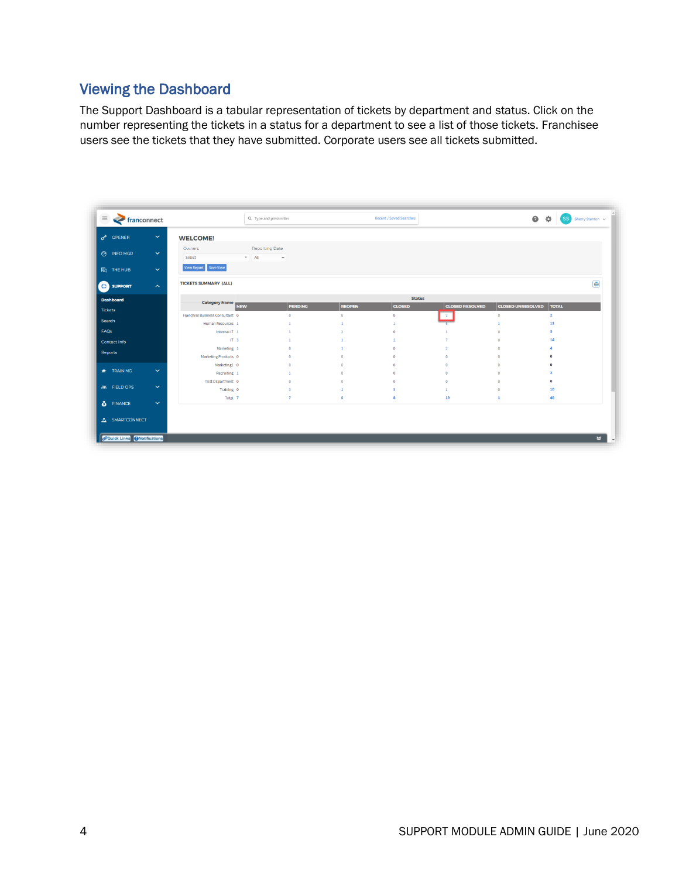### <span id="page-3-0"></span>Viewing the Dashboard

The Support Dashboard is a tabular representation of tickets by department and status. Click on the number representing the tickets in a status for a department to see a list of those tickets. Franchisee users see the tickets that they have submitted. Corporate users see all tickets submitted.

| $\equiv$<br><b>System</b> franconnect |                     |                                      | Q Type and press enter           |                      |                | <b>Recent / Saved Searches</b> |                        | $\bullet$ $\bullet$      | $(SS)$ Sherry Stanton $\sim$ |
|---------------------------------------|---------------------|--------------------------------------|----------------------------------|----------------------|----------------|--------------------------------|------------------------|--------------------------|------------------------------|
| o <sup>A</sup> OPENER                 | $\checkmark$        | <b>WELCOME!</b>                      |                                  |                      |                |                                |                        |                          |                              |
| <b>3</b> INFO MGR                     | $\checkmark$        | Owners<br>Select                     | <b>Reporting Date</b><br>$#$ All | $\check{~}$          |                |                                |                        |                          |                              |
| <b>h</b> THE HUB                      | $\checkmark$        | View Report Save View                |                                  |                      |                |                                |                        |                          |                              |
| <b>O</b> SUPPORT                      | $\hat{\phantom{a}}$ | <b>TICKETS SUMMARY (ALL)</b>         |                                  |                      |                |                                |                        |                          | $\blacksquare$               |
| <b>Dashboard</b>                      |                     |                                      |                                  |                      |                | <b>Status</b>                  |                        |                          |                              |
| <b>Tickets</b>                        |                     | Category Name<br>NEW                 |                                  | <b>PENDING</b>       | <b>REOPEN</b>  | <b>CLOSED</b>                  | <b>CLOSED RESOLVED</b> | <b>CLOSED UNRESOLVED</b> | <b>TOTAL</b>                 |
| Search                                |                     | Franchise Business Consultant 0      |                                  | $\bullet$            | $\circ$        | $\mathbf{0}$                   | $\overline{2}$         | $\circ$                  | $\overline{2}$               |
|                                       |                     | Human Resources 1                    |                                  | $\mathbf{1}$         | $\mathbf{1}$   | 1                              |                        | n                        | 11                           |
| FAQs                                  |                     | Internal IT 1                        |                                  |                      |                | $\mathbf{0}$                   |                        | $\theta$                 | 5                            |
| <b>Contact Info</b>                   |                     | IT <sub>3</sub>                      |                                  |                      |                | $\overline{ }$                 |                        | $\Omega$                 | 14                           |
| <b>Reports</b>                        |                     | Marketing 1                          |                                  | $\theta$             | $\Omega$       | $\Omega$                       |                        | $\Omega$                 | $\Delta$<br>$\Omega$         |
|                                       |                     | Marketing Products 0<br>Marketing1 0 |                                  | $\Omega$<br>$\Omega$ | $\sqrt{2}$     | $\Omega$<br>$\Omega$           |                        | $\Omega$<br>$\Omega$     | $\Omega$                     |
| <b>TRAINING</b>                       | $\checkmark$        | Recruiting 1                         |                                  |                      | $\Omega$       | $\Omega$                       |                        | $\circ$                  | $\overline{2}$               |
|                                       |                     | TEst DEpartment 0                    |                                  | $\Omega$             | $\circ$        | $\Omega$                       | $\Omega$               | $\overline{0}$           | $\circ$                      |
| <b>66 FIELD OPS</b>                   | $\checkmark$        | Training 0                           |                                  | $\overline{3}$       | $\overline{1}$ | s                              | $\mathbf{1}$           | $\circ$                  | 10                           |
|                                       |                     | Total 7                              |                                  | $\overline{7}$       | -6             | R                              | 19                     | $\mathbf{1}$             | 48                           |
| 6 FINANCE                             | $\checkmark$        |                                      |                                  |                      |                |                                |                        |                          |                              |
| <b>A</b> SMARTCONNECT                 |                     |                                      |                                  |                      |                |                                |                        |                          |                              |
|                                       |                     |                                      |                                  |                      |                |                                |                        |                          |                              |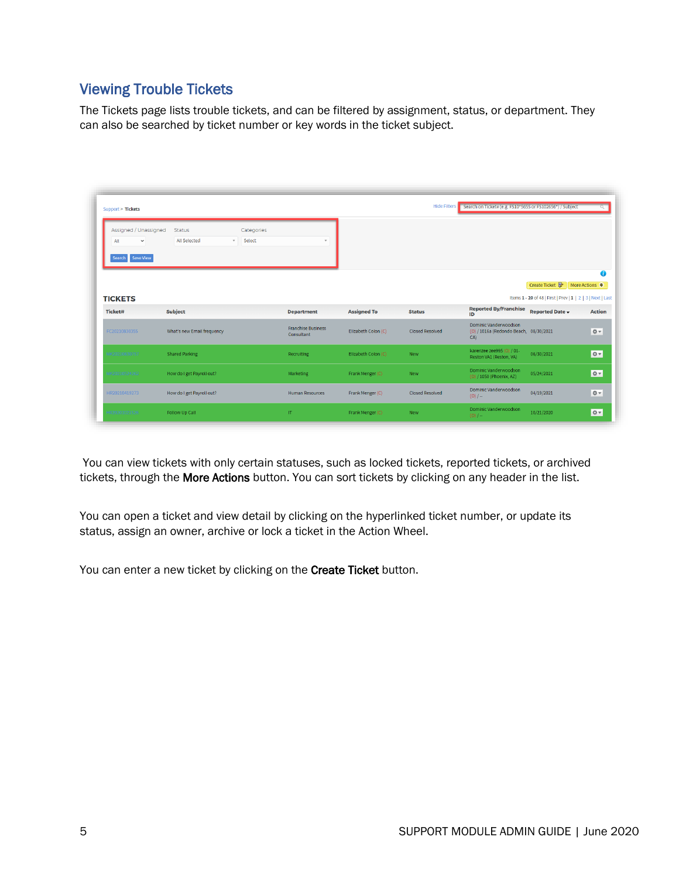#### <span id="page-4-0"></span>Viewing Trouble Tickets

The Tickets page lists trouble tickets, and can be filtered by assignment, status, or department. They can also be searched by ticket number or key words in the ticket subject.

| Support > Tickets                                                |                                      |                        |                                         |                     | <b>Hide Filters</b>    | Search on Ticket# (e.g. FS10*5655 or FS102656*) / Subject              |                                                                                |                |
|------------------------------------------------------------------|--------------------------------------|------------------------|-----------------------------------------|---------------------|------------------------|------------------------------------------------------------------------|--------------------------------------------------------------------------------|----------------|
| Assigned / Unassigned<br>All<br>$\checkmark$<br>Search Save View | <b>Status</b><br><b>All Selected</b> | Categories<br>v Select | $\mathbf{v}$                            |                     |                        |                                                                        |                                                                                |                |
|                                                                  |                                      |                        |                                         |                     |                        |                                                                        | Create Ticket                                                                  | More Actions ♦ |
| <b>TICKETS</b><br><b>Ticket#</b>                                 | <b>Subject</b>                       |                        | <b>Department</b>                       | <b>Assigned To</b>  | <b>Status</b>          | <b>Reported By/Franchise</b><br>ID                                     | Items 1 - 20 of 48   First   Prev   1   2   3   Next   Last<br>Reported Date - | <b>Action</b>  |
| FC20210830355                                                    | What's new Email frequency           |                        | <b>Franchise Business</b><br>Consultant | Elizabeth Colon (C) | <b>Closed Resolved</b> | Dominic Vanderwoodson<br>(O) / 1016a (Redondo Beach, 08/30/2021<br>CA) |                                                                                | ☆▼             |
| MK20210630757                                                    | <b>Shared Parking</b>                |                        | Recruiting                              | Elizabeth Colon (C) | New                    | karenzee zee995 (O) / 01-<br>Reston VA1 (Reston, VA)                   | 06/30/2021                                                                     | <b>OF</b>      |
| MK20210524262                                                    | How do I get Payroll out?            |                        | Marketing                               | Frank Menger (C)    | <b>New</b>             | Dominic Vanderwoodson<br>(O) / 1050 (Phoenix, AZ)                      | 05/24/2021                                                                     | ☆▼             |
| HR20210419273                                                    | How do I get Payroll out?            |                        | <b>Human Resources</b>                  | Frank Menger (C)    | <b>Closed Resolved</b> | Dominic Vanderwoodson<br>$(0)$ / $-$                                   | 04/19/2021                                                                     | ☆▼             |
|                                                                  | Follow Up Call                       |                        | $\Pi$                                   | Frank Menger (C)    | <b>New</b>             | Dominic Vanderwoodson                                                  | 10/21/2020                                                                     | ☆▼             |

You can view tickets with only certain statuses, such as locked tickets, reported tickets, or archived tickets, through the More Actions button. You can sort tickets by clicking on any header in the list.

You can open a ticket and view detail by clicking on the hyperlinked ticket number, or update its status, assign an owner, archive or lock a ticket in the Action Wheel.

You can enter a new ticket by clicking on the Create Ticket button.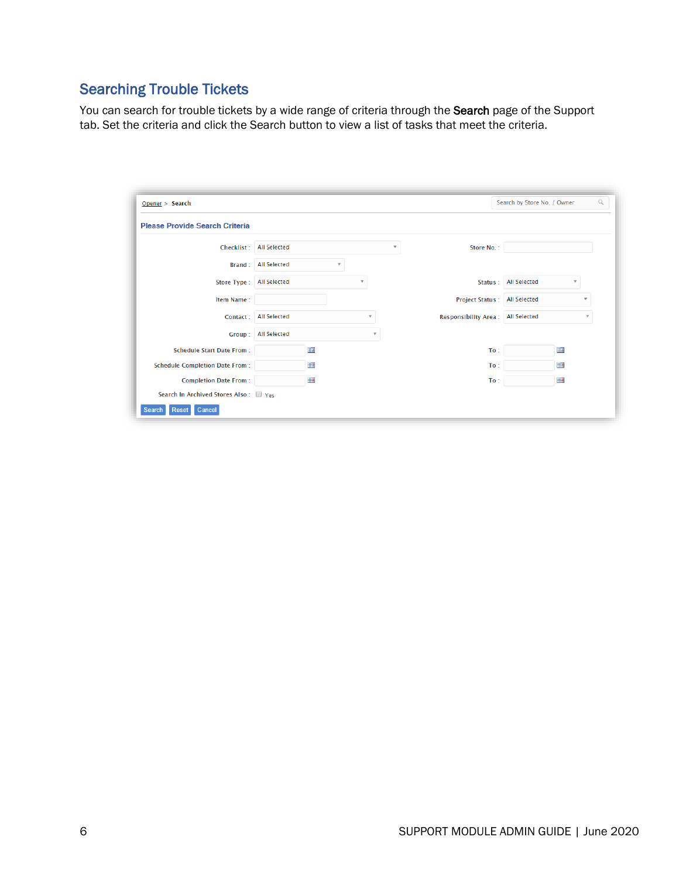## <span id="page-5-0"></span>Searching Trouble Tickets

You can search for trouble tickets by a wide range of criteria through the Search page of the Support tab. Set the criteria and click the Search button to view a list of tasks that meet the criteria.

| Opener > Search                       |                     |                         |                         |                             | Search by Store No. / Owner |                          | Q |
|---------------------------------------|---------------------|-------------------------|-------------------------|-----------------------------|-----------------------------|--------------------------|---|
| <b>Please Provide Search Criteria</b> |                     |                         |                         |                             |                             |                          |   |
| Checklist:                            | <b>All Selected</b> |                         | $\overline{\mathbf{v}}$ | Store No.:                  |                             |                          |   |
| Brand:                                | <b>All Selected</b> |                         |                         |                             |                             |                          |   |
| Store Type:                           | <b>All Selected</b> | v                       |                         | Status:                     | <b>All Selected</b>         | $\mathbf{v}$             |   |
| Item Name:                            |                     |                         |                         | <b>Project Status:</b>      | <b>All Selected</b>         | $\overline{\phantom{a}}$ |   |
| Contact:                              | <b>All Selected</b> | $\overline{\mathbf{v}}$ |                         | <b>Responsibility Area:</b> | <b>All Selected</b>         |                          |   |
| Group:                                | <b>All Selected</b> | $\mathbf{v}$            |                         |                             |                             |                          |   |
| <b>Schedule Start Date From:</b>      | H                   |                         |                         | To:                         | HH                          |                          |   |
| <b>Schedule Completion Date From:</b> | HH                  |                         |                         | To:                         | HH                          |                          |   |
| <b>Completion Date From:</b>          | H                   |                         |                         | To:                         | H                           |                          |   |
| Search In Archived Stores Also: Ves   |                     |                         |                         |                             |                             |                          |   |
| Cancel<br>Reset                       |                     |                         |                         |                             |                             |                          |   |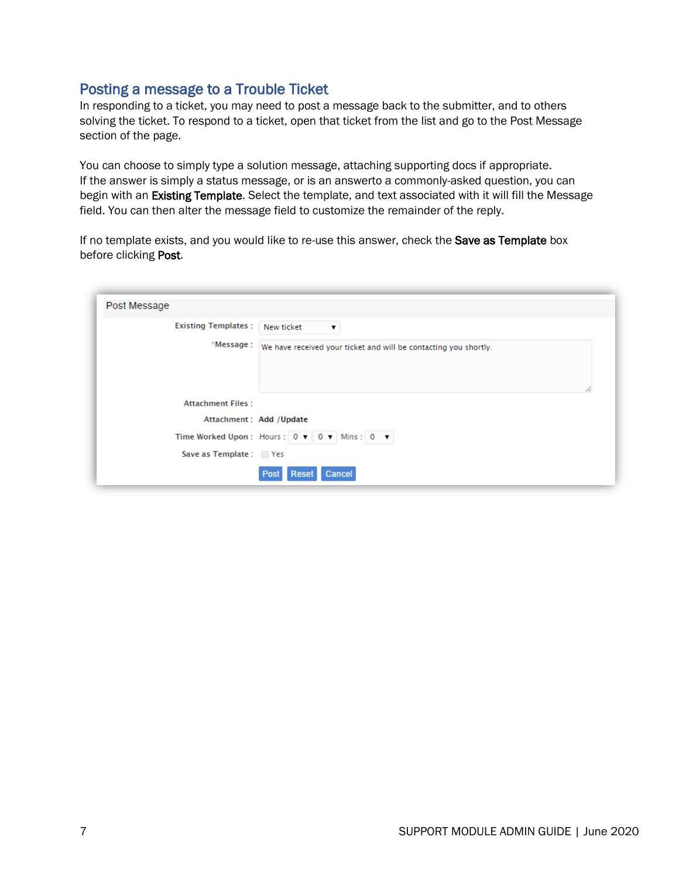#### <span id="page-6-0"></span>Posting a message to a Trouble Ticket

In responding to a ticket, you may need to post a message back to the submitter, and to others solving the ticket. To respond to a ticket, open that ticket from the list and go to the Post Message section of the page.

You can choose to simply type a solution message, attaching supporting docs if appropriate. If the answer is simply a status message, or is an answerto a commonly-asked question, you can begin with an Existing Template. Select the template, and text associated with it will fill the Message field. You can then alter the message field to customize the remainder of the reply.

If no template exists, and you would like to re-use this answer, check the Save as Template box before clicking Post.

| Post Message                                         |                                                                  |
|------------------------------------------------------|------------------------------------------------------------------|
| <b>Existing Templates:</b>                           | New ticket<br>$\pmb{\mathrm{v}}$                                 |
| *Message :                                           | We have received your ticket and will be contacting you shortly. |
| <b>Attachment Files:</b><br>Attachment : Add /Update |                                                                  |
|                                                      |                                                                  |
|                                                      | Time Worked Upon : Hours : 0 v 0 v Mins : 0 v                    |
| Save as Template: Yes                                |                                                                  |
|                                                      | Cancel<br><b>Reset</b>                                           |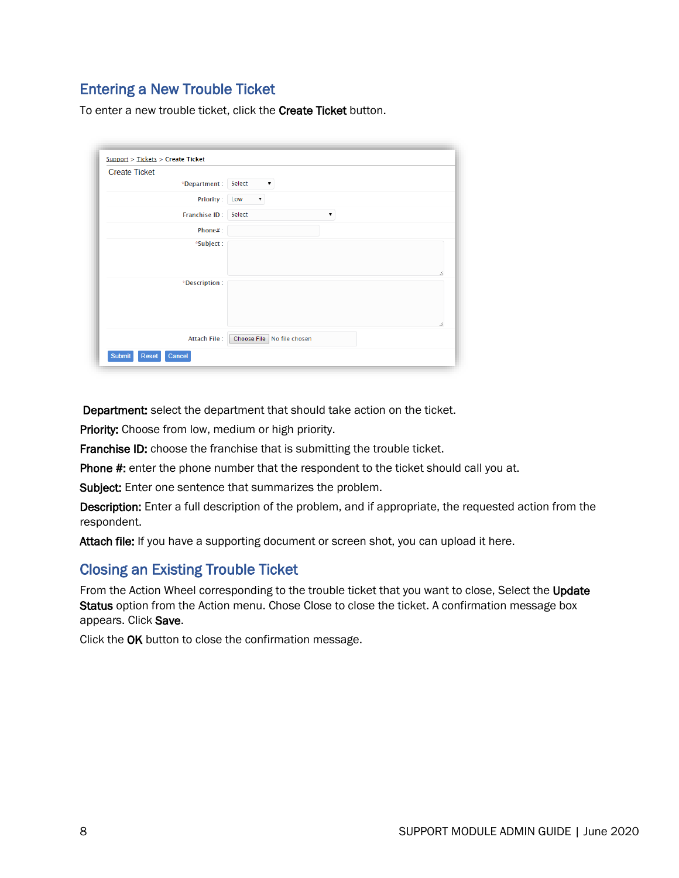#### <span id="page-7-0"></span>Entering a New Trouble Ticket

To enter a new trouble ticket, click the Create Ticket button.

| <b>Create Ticket</b> |                      |                            |
|----------------------|----------------------|----------------------------|
|                      | *Department : Select | ▼                          |
|                      | Priority: Low        | $\pmb{\mathrm{v}}$         |
|                      | Franchise ID: Select | $\pmb{\mathrm{v}}$         |
|                      | Phone#:              |                            |
|                      | *Subject:            |                            |
|                      | *Description:        | 1.                         |
|                      | <b>Attach File:</b>  | Choose File No file chosen |

Department: select the department that should take action on the ticket.

Priority: Choose from low, medium or high priority.

Franchise ID: choose the franchise that is submitting the trouble ticket.

Phone #: enter the phone number that the respondent to the ticket should call you at.

Subject: Enter one sentence that summarizes the problem.

Description: Enter a full description of the problem, and if appropriate, the requested action from the respondent.

Attach file: If you have a supporting document or screen shot, you can upload it here.

#### <span id="page-7-1"></span>Closing an Existing Trouble Ticket

From the Action Wheel corresponding to the trouble ticket that you want to close, Select the Update Status option from the Action menu. Chose Close to close the ticket. A confirmation message box appears. Click Save.

Click the OK button to close the confirmation message.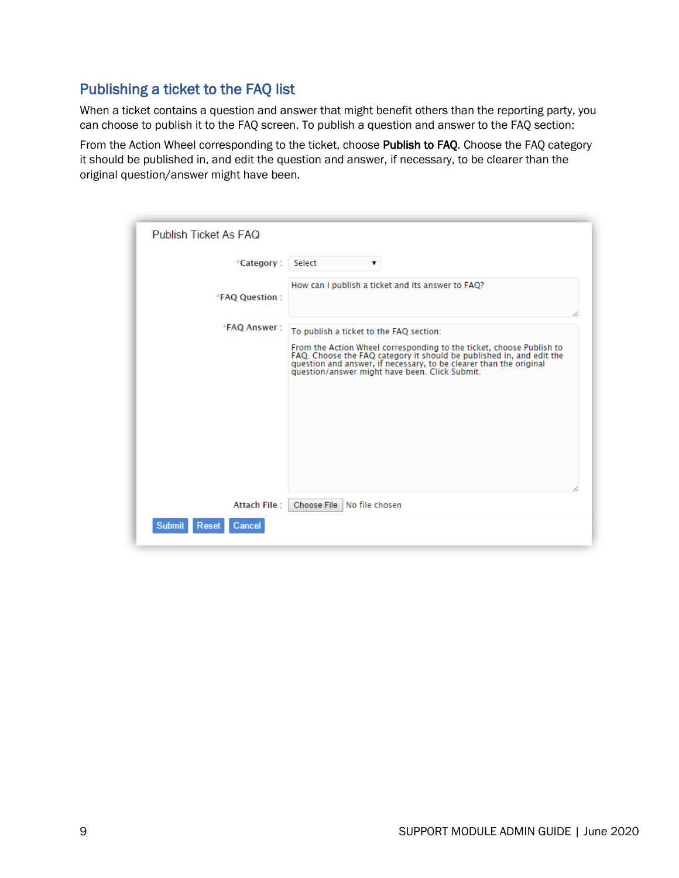#### <span id="page-8-0"></span>Publishing a ticket to the FAQ list

When a ticket contains a question and answer that might benefit others than the reporting party, you can choose to publish it to the FAQ screen. To publish a question and answer to the FAQ section:

From the Action Wheel corresponding to the ticket, choose Publish to FAQ. Choose the FAQ category it should be published in, and edit the question and answer, if necessary, to be clearer than the original question/answer might have been.

| Publish Ticket As FAQ            |                                                                                                                                                                                                                                                                   |
|----------------------------------|-------------------------------------------------------------------------------------------------------------------------------------------------------------------------------------------------------------------------------------------------------------------|
| <i><b>*Category:</b></i>         | Select<br>▼                                                                                                                                                                                                                                                       |
| *FAQ Question:                   | How can I publish a ticket and its answer to FAQ?                                                                                                                                                                                                                 |
| *FAQ Answer:                     | To publish a ticket to the FAQ section:                                                                                                                                                                                                                           |
|                                  | From the Action Wheel corresponding to the ticket, choose Publish to<br>FAQ. Choose the FAQ category it should be published in, and edit the question and answer, if necessary, to be clearer than the original<br>question/answer might have been. Click Submit. |
| <b>Attach File:</b>              | Choose File No file chosen                                                                                                                                                                                                                                        |
| <b>Submit</b><br>Reset<br>Cancel |                                                                                                                                                                                                                                                                   |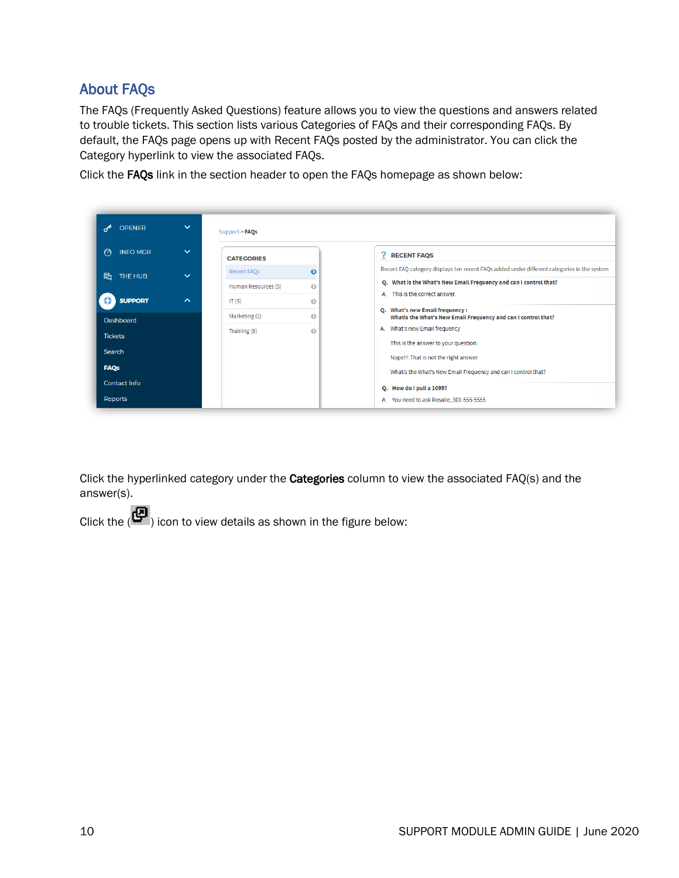#### <span id="page-9-0"></span>About FAQs

The FAQs (Frequently Asked Questions) feature allows you to view the questions and answers related to trouble tickets. This section lists various Categories of FAQs and their corresponding FAQs. By default, the FAQs page opens up with Recent FAQs posted by the administrator. You can click the Category hyperlink to view the associated FAQs.

Click the FAQs link in the section header to open the FAQs homepage as shown below:

| <b>OPENER</b>                  | $\checkmark$ | Support > FAQs                            |                      |                                                                                                                                                                  |
|--------------------------------|--------------|-------------------------------------------|----------------------|------------------------------------------------------------------------------------------------------------------------------------------------------------------|
| <b>INFO MGR</b><br>∩           | $\checkmark$ | <b>CATEGORIES</b>                         |                      | ?<br><b>RECENT FAQS</b>                                                                                                                                          |
| 屗<br>THE HUB                   | $\checkmark$ | <b>Recent FAQs</b><br>Human Resources (5) | $\bullet$<br>$\odot$ | Recent FAQ category displays ten recent FAQs added under different categories in the system<br>Q. What is the What's New Email Frequency and can I control that? |
| <b>SUPPORT</b><br>Dashboard    | $\sim$       | IT $(5)$<br>Marketing (2)                 | $\odot$<br>⊛         | This is the correct answer.<br>$\mathbf{A}$<br>Q. What's new Email frequency :<br>Whatis the What's New Email Frequency and can I control that?                  |
| <b>Tickets</b>                 |              | Training (8)                              | $\odot$              | What's new Email frequency<br>A.<br>This is the answer to your question.                                                                                         |
| Search<br><b>FAQs</b>          |              |                                           |                      | Nope!!! That is not the right answer<br>Whatis the What's New Email Frequency and can I control that?                                                            |
| <b>Contact Info</b><br>Reports |              |                                           |                      | Q. How do I pull a 1099?<br>A. You need to ask Rosalie, 301-555-5555                                                                                             |

Click the hyperlinked category under the **Categories** column to view the associated FAQ(s) and the answer(s).

Click the  $\left(\mathbf{C}\right)$  icon to view details as shown in the figure below: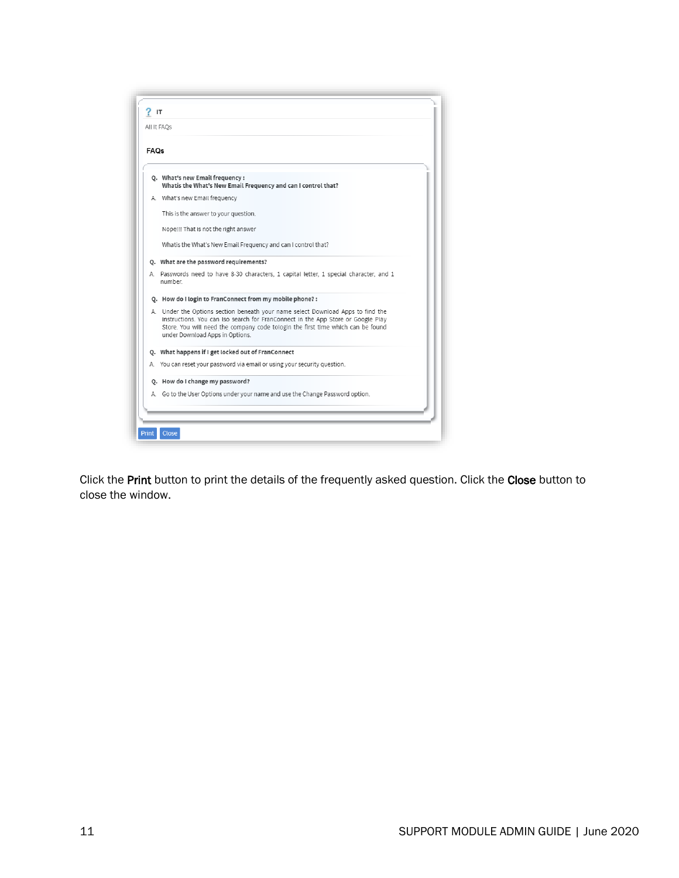

Click the Print button to print the details of the frequently asked question. Click the Close button to close the window.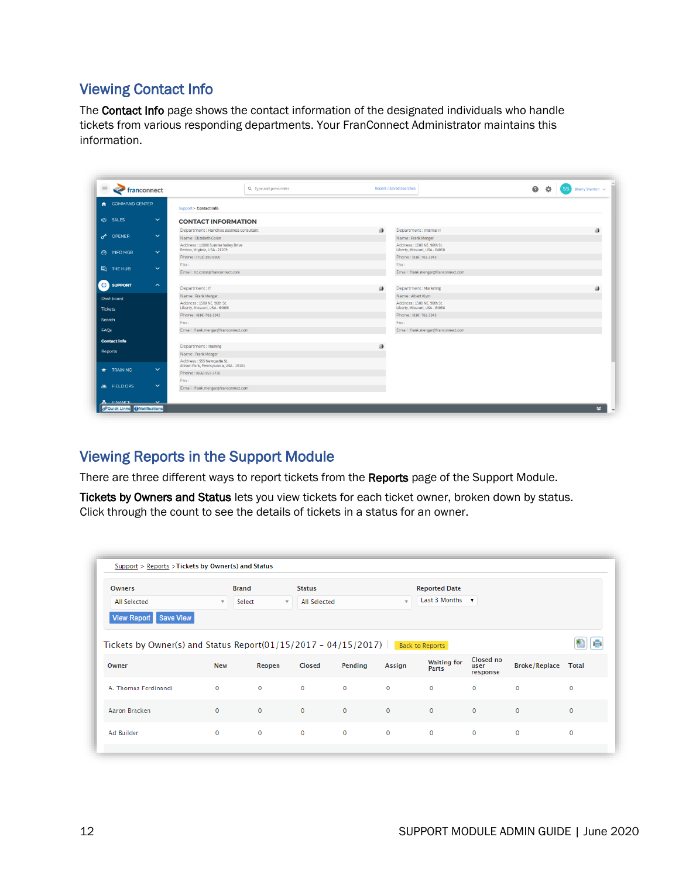#### <span id="page-11-0"></span>Viewing Contact Info

The Contact Info page shows the contact information of the designated individuals who handle tickets from various responding departments. Your FranConnect Administrator maintains this information.

| $\equiv$<br><b>Franconnect</b> |                                                           | Q Type and press enter                                                | Recent / Saved Searches                                      | $\bullet$<br>春<br><b>SS</b><br>Sherry Stanton $\sim$ |
|--------------------------------|-----------------------------------------------------------|-----------------------------------------------------------------------|--------------------------------------------------------------|------------------------------------------------------|
| <b>COMMAND CENTER</b><br>٠     |                                                           | Support > Contact Info                                                |                                                              |                                                      |
| SALES                          | $\checkmark$                                              | <b>CONTACT INFORMATION</b>                                            |                                                              |                                                      |
|                                |                                                           | Department : Franchise Business Consultant                            | ♨<br>Department : Internal IT                                |                                                      |
| ๙<br><b>OPENER</b>             | $\checkmark$                                              | Name : Elizabeth Colon                                                | Name: Frank Menger                                           |                                                      |
| <b>3</b> INFO MGR              | $\checkmark$                                              | Address: 11800 Sunrise Valley Drive<br>Reston, Virginia, USA - 21209  | Address: 1500 NE. 96th St.<br>Liberty, Missouri, USA - 64068 |                                                      |
|                                |                                                           | Phone: (703) 390-9300                                                 | Phone: (816) 781-3343                                        |                                                      |
| <b>地 THE HUB</b>               | $\checkmark$                                              | Fax:                                                                  | Fax:                                                         |                                                      |
|                                |                                                           | Email: IIz.colon@franconnect.com                                      | Email: frank.menger@franconnect.com                          |                                                      |
|                                | $\boldsymbol{\wedge}$                                     |                                                                       |                                                              |                                                      |
| <b>O</b> SUPPORT               |                                                           | Department: IT                                                        | ♨<br>Department: Marketing                                   |                                                      |
| Dashboard                      |                                                           | Name: Frank Menger                                                    | Name: Albert Klym                                            |                                                      |
| <b>Tickets</b>                 |                                                           | Address: 1500 NE. 96th St.<br>Liberty, Missouri, USA - 64068          | Address: 1500 NE. 96th St.<br>Liberty, Missouri, USA - 64068 |                                                      |
| Search                         |                                                           | Phone: (816) 781-3343                                                 | Phone: (816) 781-3343                                        |                                                      |
|                                |                                                           | Fax:                                                                  | Fax:                                                         |                                                      |
| <b>FAOs</b>                    |                                                           | Email: frank.menger@franconnect.com                                   | Email: frank.menger@franconnect.com                          |                                                      |
| <b>Contact Info</b>            |                                                           |                                                                       |                                                              |                                                      |
|                                |                                                           | Department: Training                                                  | 画                                                            |                                                      |
| Reports                        |                                                           | Name: Frank Menger                                                    |                                                              |                                                      |
| <b>TRAINING</b>                | $\checkmark$                                              | Address: 555 Newcastle St.<br>Allison Park, Pennsylvania, USA - 15101 |                                                              |                                                      |
|                                |                                                           | Phone: (866) 959-3738                                                 |                                                              |                                                      |
|                                |                                                           | Fax:                                                                  |                                                              |                                                      |
| <b>88 FIELD OPS</b>            | $\checkmark$                                              | Email: frank.menger@franconnect.com                                   |                                                              |                                                      |
|                                |                                                           |                                                                       |                                                              |                                                      |
| <b>FINANCE</b>                 | $\checkmark$<br><i><b>PQuick Links</b></i> PNotifications |                                                                       |                                                              | $\boldsymbol{\mathsf{z}}$                            |

#### <span id="page-11-1"></span>Viewing Reports in the Support Module

There are three different ways to report tickets from the Reports page of the Support Module.

Tickets by Owners and Status lets you view tickets for each ticket owner, broken down by status. Click through the count to see the details of tickets in a status for an owner.

| Owners                                                                | <b>Brand</b> |                               | <b>Status</b> |              |                     | <b>Reported Date</b>        |                               |                            |              |
|-----------------------------------------------------------------------|--------------|-------------------------------|---------------|--------------|---------------------|-----------------------------|-------------------------------|----------------------------|--------------|
| All Selected                                                          | $\mathbf{v}$ | Select<br>$\scriptstyle\rm w$ | All Selected  |              | $\scriptstyle\rm w$ | Last 3 Months $\mathbf{v}$  |                               |                            |              |
| View Report Save View                                                 |              |                               |               |              |                     |                             |                               |                            |              |
|                                                                       |              |                               |               |              |                     |                             |                               |                            |              |
| Tickets by Owner(s) and Status Report(01/15/2017 - 04/15/2017) $\Box$ |              |                               |               |              |                     | <b>Back to Reports</b>      |                               |                            |              |
| Owner                                                                 | <b>New</b>   | Reopen                        | Closed        | Pending      | <b>Assign</b>       | <b>Waiting for</b><br>Parts | Closed no<br>user<br>response | <b>Broke/Replace Total</b> |              |
|                                                                       | $\circ$      | $\circ$                       | $\circ$       | $\circ$      | $\circ$             | $\mathbf 0$                 | $\circ$                       | $\circ$                    | $\circ$      |
| A. Thomas Ferdinandi<br>Aaron Bracken                                 | $\circ$      | $\circ$                       | $\mathbf{0}$  | $\mathbf{0}$ | $\circ$             | $\mathbf{0}$                | $\circ$                       | $\circ$                    | $\mathbf{0}$ |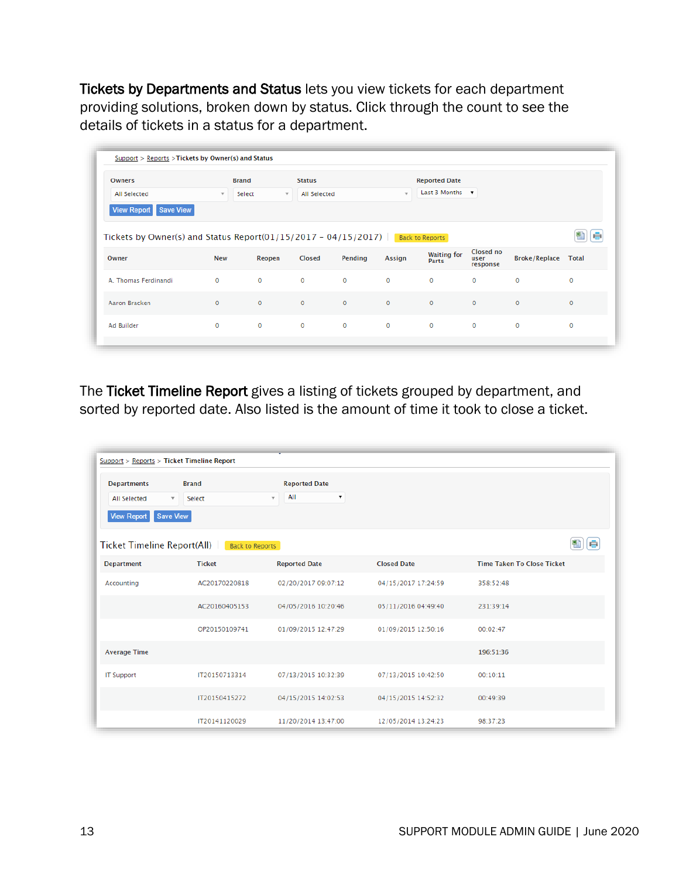Tickets by Departments and Status lets you view tickets for each department providing solutions, broken down by status. Click through the count to see the details of tickets in a status for a department.

| <b>Owners</b>                                                                                                 | <b>Brand</b>             |              | <b>Status</b>                           |              |               | <b>Reported Date</b>        |                               |                            |         |
|---------------------------------------------------------------------------------------------------------------|--------------------------|--------------|-----------------------------------------|--------------|---------------|-----------------------------|-------------------------------|----------------------------|---------|
| All Selected                                                                                                  | $\overline{\phantom{a}}$ | Select       | All Selected<br>$\overline{\mathbf{v}}$ |              |               | Last 3 Months $\mathbf{v}$  |                               |                            |         |
| View Report Save View<br>Tickets by Owner(s) and Status Report( $01/15/2017 - 04/15/2017$ )   Back to Reports |                          |              |                                         |              |               |                             |                               |                            |         |
|                                                                                                               |                          |              |                                         |              |               |                             |                               |                            |         |
|                                                                                                               |                          |              |                                         |              |               |                             |                               |                            |         |
| Owner                                                                                                         | <b>New</b>               | Reopen       | Closed                                  | Pending      | <b>Assign</b> | <b>Waiting for</b><br>Parts | Closed no<br>user<br>response | <b>Broke/Replace Total</b> |         |
| A. Thomas Ferdinandi                                                                                          | $\mathbf 0$              | $\mathbf 0$  | $\mathbf 0$                             | $\mathbf 0$  | $\mathbf 0$   | $\circ$                     | $\circ$                       | $\mathbf 0$                | 0       |
| Aaron Bracken                                                                                                 | $\mathbf{0}$             | $\mathbf{0}$ | $\mathbf{0}$                            | $\mathbf{0}$ | $\mathbf{0}$  | $\circ$                     | $\mathbf{0}$                  | $\mathbf{0}$               | $\circ$ |

The Ticket Timeline Report gives a listing of tickets grouped by department, and sorted by reported date. Also listed is the amount of time it took to close a ticket.

| Support > Reports > Ticket Timeline Report                                            |                        |                                                  |                     |                                   |
|---------------------------------------------------------------------------------------|------------------------|--------------------------------------------------|---------------------|-----------------------------------|
| <b>Departments</b><br><b>All Selected</b><br>$\mathbf{v}$<br>Save View<br>View Report | <b>Brand</b><br>Select | <b>Reported Date</b><br>All<br>▼<br>$\mathbf{v}$ |                     |                                   |
| 图<br>le<br><b>Ticket Timeline Report(All)</b><br><b>Back to Reports</b>               |                        |                                                  |                     |                                   |
| <b>Department</b>                                                                     | <b>Ticket</b>          | <b>Reported Date</b>                             | <b>Closed Date</b>  | <b>Time Taken To Close Ticket</b> |
| Accounting                                                                            | AC20170220818          | 02/20/2017 09:07:12                              | 04/15/2017 17:24:59 | 358:52:48                         |
|                                                                                       | AC20160405153          | 04/05/2016 10:20:46                              | 05/11/2016 04:49:40 | 231:39:14                         |
|                                                                                       | OP20150109741          | 01/09/2015 12:47:29                              | 01/09/2015 12:50:16 | 00:02:47                          |
| <b>Average Time</b>                                                                   |                        |                                                  |                     | 196:51:36                         |
| <b>IT Support</b>                                                                     | IT20150713314          | 07/13/2015 10:32:39                              | 07/13/2015 10:42:50 | 00:10:11                          |
|                                                                                       | IT20150415272          | 04/15/2015 14:02:53                              | 04/15/2015 14:52:32 | 00:49:39                          |
|                                                                                       | IT20141120029          | 11/20/2014 13:47:00                              | 12/05/2014 13:24:23 | 98:37:23                          |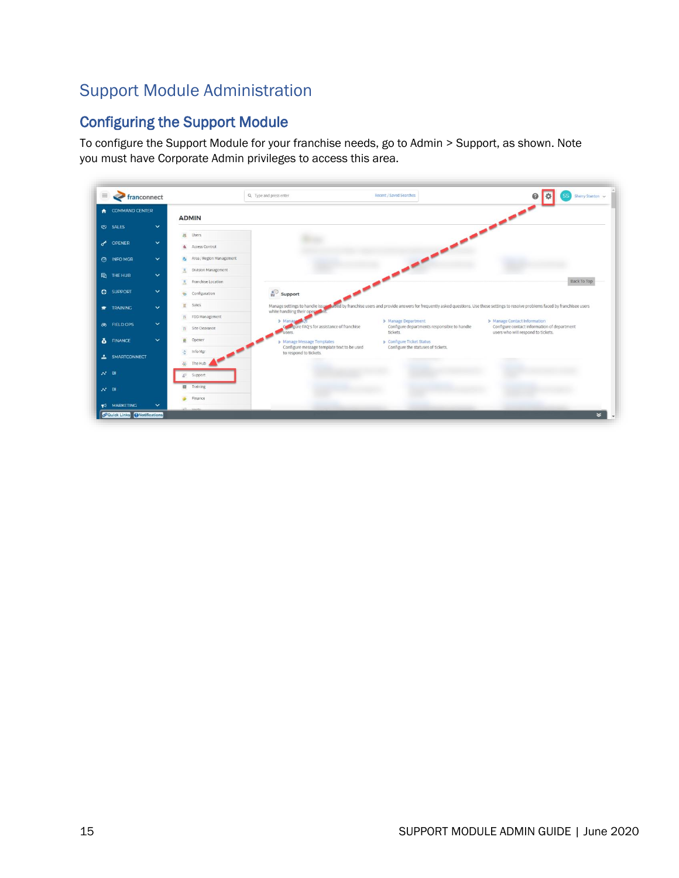## <span id="page-14-0"></span>Support Module Administration

## <span id="page-14-1"></span>Configuring the Support Module

To configure the Support Module for your franchise needs, go to Admin > Support, as shown. Note you must have Corporate Admin privileges to access this area.

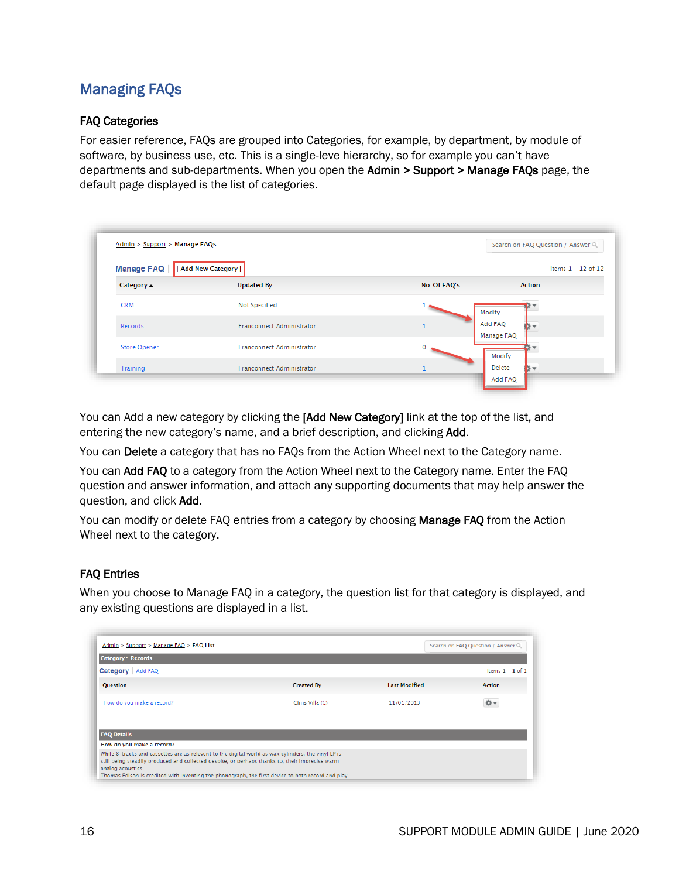### <span id="page-15-0"></span>Managing FAQs

#### FAQ Categories

For easier reference, FAQs are grouped into Categories, for example, by department, by module of software, by business use, etc. This is a single-leve hierarchy, so for example you can't have departments and sub-departments. When you open the Admin > Support > Manage FAQs page, the default page displayed is the list of categories.

| Admin > Support > Manage FAQs |                                  |              | Search on FAQ Question / Answer Q |
|-------------------------------|----------------------------------|--------------|-----------------------------------|
| <b>Manage FAQ</b>             | [ Add New Category ]             |              | Items $1 - 12$ of 12              |
| Category $\triangle$          | <b>Updated By</b>                | No. Of FAQ's | <b>Action</b>                     |
| <b>CRM</b>                    | Not Specified                    |              | Modify                            |
| Records                       | Franconnect Administrator        |              | Add FAQ<br>Manage FAQ             |
| <b>Store Opener</b>           | <b>Franconnect Administrator</b> |              | Modify                            |
| Training                      | <b>Franconnect Administrator</b> |              | Delete                            |

You can Add a new category by clicking the [Add New Category] link at the top of the list, and entering the new category's name, and a brief description, and clicking Add.

You can Delete a category that has no FAQs from the Action Wheel next to the Category name.

You can Add FAQ to a category from the Action Wheel next to the Category name. Enter the FAQ question and answer information, and attach any supporting documents that may help answer the question, and click Add.

You can modify or delete FAO entries from a category by choosing Manage FAO from the Action Wheel next to the category.

#### FAQ Entries

When you choose to Manage FAQ in a category, the question list for that category is displayed, and any existing questions are displayed in a list.

| Admin > Support > Manage FAQ > FAQ List<br>Search on FAQ Question / Answer Q                                                                                                                                                                                                                                                     |                   |                      |                    |
|----------------------------------------------------------------------------------------------------------------------------------------------------------------------------------------------------------------------------------------------------------------------------------------------------------------------------------|-------------------|----------------------|--------------------|
| <b>Category: Records</b>                                                                                                                                                                                                                                                                                                         |                   |                      |                    |
| Category   Add FAQ                                                                                                                                                                                                                                                                                                               |                   |                      | Items $1 - 1$ of 1 |
| Question                                                                                                                                                                                                                                                                                                                         | <b>Created By</b> | <b>Last Modified</b> | <b>Action</b>      |
| How do you make a record?                                                                                                                                                                                                                                                                                                        | Chris Villa (C)   | 11/01/2013           |                    |
|                                                                                                                                                                                                                                                                                                                                  |                   |                      |                    |
| <b>FAQ Details</b>                                                                                                                                                                                                                                                                                                               |                   |                      |                    |
| How do you make a record?                                                                                                                                                                                                                                                                                                        |                   |                      |                    |
| While 8-tracks and cassettes are as relevent to the digital world as wax cylinders, the vinyl LP is<br>still being steadily produced and collected despite, or perhaps thanks to, their imprecise warm<br>analog acoustics.<br>Thomas Edison is credited with inventing the phonograph, the first device to both record and play |                   |                      |                    |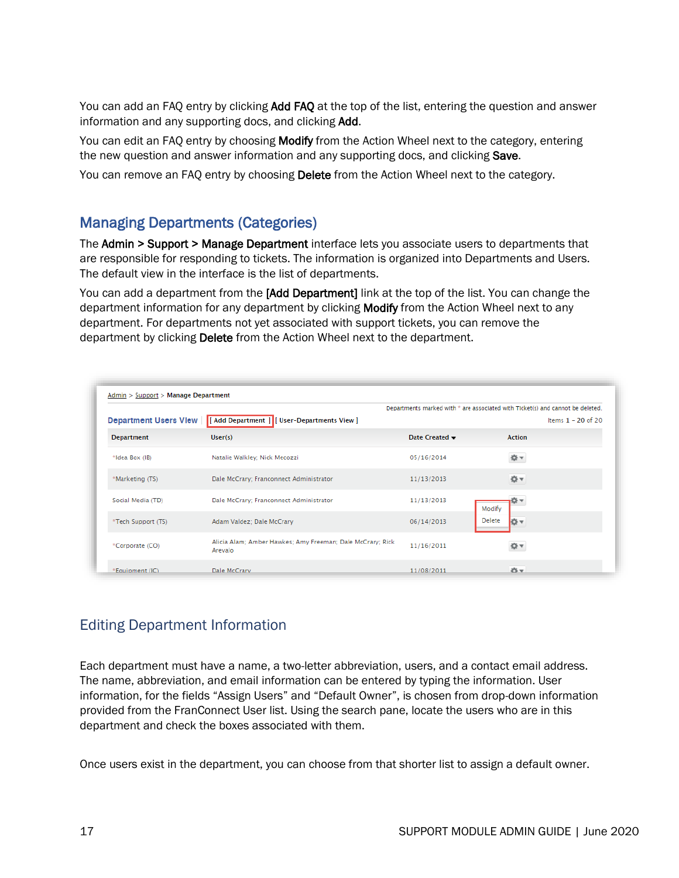You can add an FAQ entry by clicking **Add FAQ** at the top of the list, entering the question and answer information and any supporting docs, and clicking Add.

You can edit an FAQ entry by choosing **Modify** from the Action Wheel next to the category, entering the new question and answer information and any supporting docs, and clicking Save.

You can remove an FAQ entry by choosing Delete from the Action Wheel next to the category.

#### <span id="page-16-0"></span>Managing Departments (Categories)

The Admin > Support > Manage Department interface lets you associate users to departments that are responsible for responding to tickets. The information is organized into Departments and Users. The default view in the interface is the list of departments.

You can add a department from the [Add Department] link at the top of the list. You can change the department information for any department by clicking Modify from the Action Wheel next to any department. For departments not yet associated with support tickets, you can remove the department by clicking Delete from the Action Wheel next to the department.

|                              |                                                                       |                                   | Departments marked with * are associated with Ticket(s) and cannot be deleted. |
|------------------------------|-----------------------------------------------------------------------|-----------------------------------|--------------------------------------------------------------------------------|
| <b>Department Users View</b> | [ Add Department ] [ User-Departments View ]                          |                                   | Items $1 - 20$ of 20                                                           |
| <b>Department</b>            | User(s)                                                               | Date Created $\blacktriangledown$ | <b>Action</b>                                                                  |
| *Idea Box (IB)               | Natalie Walkley; Nick Mecozzi                                         | 05/16/2014                        | ☆▼                                                                             |
| *Marketing (TS)              | Dale McCrary; Franconnect Administrator                               | 11/13/2013                        | ☆▼                                                                             |
| Social Media (TD)            | Dale McCrary; Franconnect Administrator                               | 11/13/2013                        | Modify                                                                         |
| *Tech Support (TS)           | Adam Valdez; Dale McCrary                                             | 06/14/2013                        | Delete<br>☆▼                                                                   |
| *Corporate (CO)              | Alicia Alam; Amber Hawkes; Amy Freeman; Dale McCrary; Rick<br>Arevalo | 11/16/2011                        | Ω τ                                                                            |
| *Equipment (IC)              | Dale McCrary                                                          | 11/08/2011                        | 谷一                                                                             |

#### <span id="page-16-1"></span>Editing Department Information

Each department must have a name, a two-letter abbreviation, users, and a contact email address. The name, abbreviation, and email information can be entered by typing the information. User information, for the fields "Assign Users" and "Default Owner", is chosen from drop-down information provided from the FranConnect User list. Using the search pane, locate the users who are in this department and check the boxes associated with them.

Once users exist in the department, you can choose from that shorter list to assign a default owner.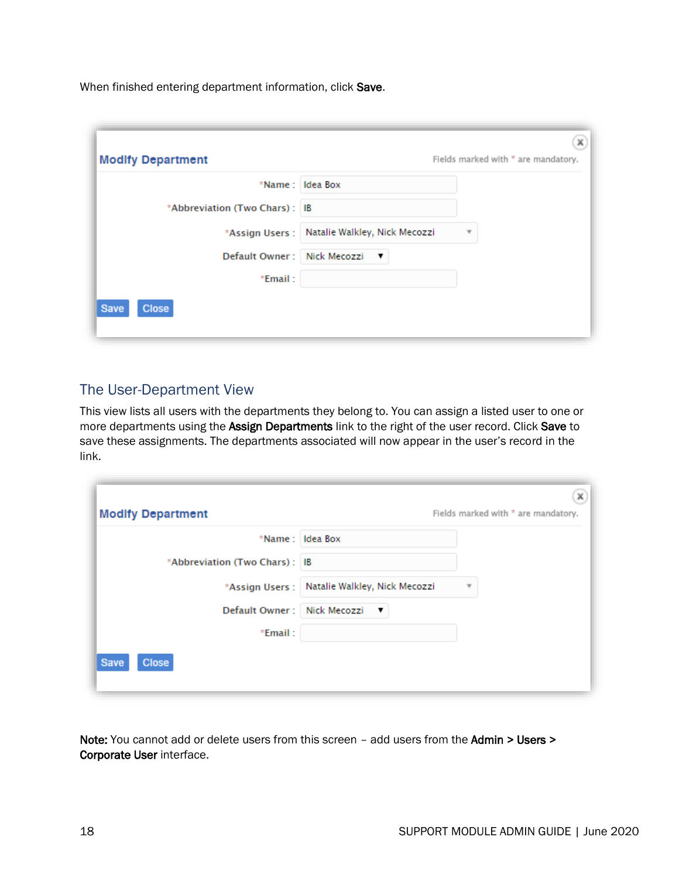When finished entering department information, click Save.

| <b>Modify Department</b>      | Fields marked with * are mandatory.                                |
|-------------------------------|--------------------------------------------------------------------|
|                               | *Name: Idea Box                                                    |
| *Abbreviation (Two Chars): IB |                                                                    |
|                               | *Assign Users : Natalie Walkley, Nick Mecozzi<br>$\overline{\tau}$ |
| Default Owner: Nick Mecozzi   | ▼                                                                  |
| *Email:                       |                                                                    |
| <b>Close</b><br><b>Save</b>   |                                                                    |

#### <span id="page-17-0"></span>The User-Department View

This view lists all users with the departments they belong to. You can assign a listed user to one or more departments using the Assign Departments link to the right of the user record. Click Save to save these assignments. The departments associated will now appear in the user's record in the link.

|                               | *Name: Idea Box                                                         |
|-------------------------------|-------------------------------------------------------------------------|
| *Abbreviation (Two Chars): IB |                                                                         |
|                               | *Assign Users : Natalie Walkley, Nick Mecozzi<br>$\overline{\mathbf v}$ |
| Default Owner: Nick Mecozzi   | $\mathbf{v}$                                                            |
| *Email:                       |                                                                         |

Note: You cannot add or delete users from this screen - add users from the Admin > Users > Corporate User interface.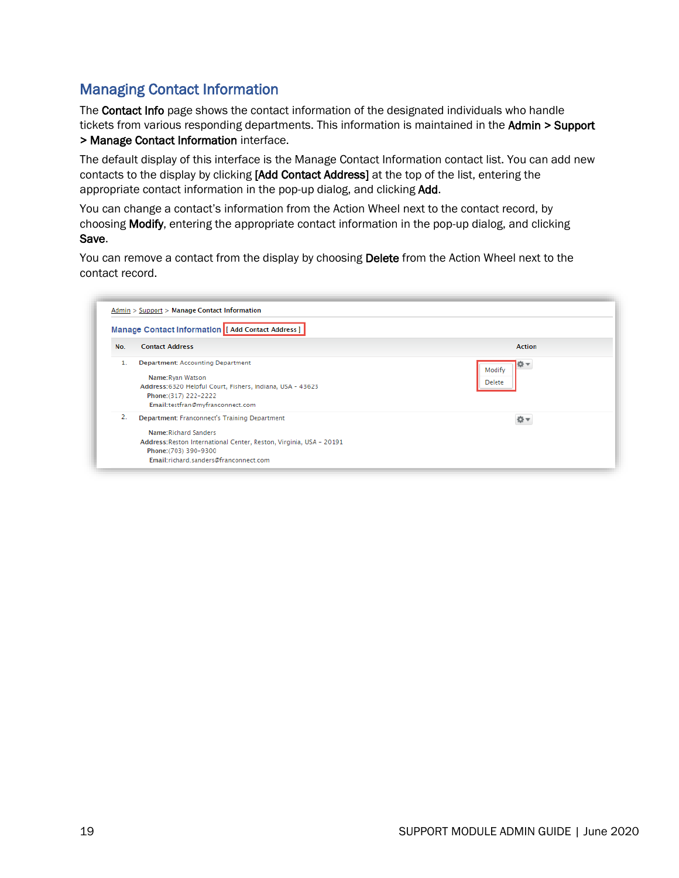#### <span id="page-18-0"></span>Managing Contact Information

The **Contact Info** page shows the contact information of the designated individuals who handle tickets from various responding departments. This information is maintained in the Admin > Support > Manage Contact Information interface.

The default display of this interface is the Manage Contact Information contact list. You can add new contacts to the display by clicking [Add Contact Address] at the top of the list, entering the appropriate contact information in the pop-up dialog, and clicking Add.

You can change a contact's information from the Action Wheel next to the contact record, by choosing Modify, entering the appropriate contact information in the pop-up dialog, and clicking Save.

You can remove a contact from the display by choosing Delete from the Action Wheel next to the contact record.

| Manage Contact Information   [ Add Contact Address ] |                                                                                                                                                                                                                 |                                       |  |  |
|------------------------------------------------------|-----------------------------------------------------------------------------------------------------------------------------------------------------------------------------------------------------------------|---------------------------------------|--|--|
| No.                                                  | <b>Contact Address</b>                                                                                                                                                                                          | <b>Action</b>                         |  |  |
|                                                      | <b>Department: Accounting Department</b><br>Name: Ryan Watson<br>Address: 6320 Helpful Court, Fishers, Indiana, USA - 43623<br>Phone: (317) 222-2222<br>Email:testfran@myfranconnect.com                        | <b>O</b> -<br>Modify<br><b>Delete</b> |  |  |
| 2.                                                   | Department: Franconnect's Training Department<br>Name: Richard Sanders<br>Address: Reston International Center, Reston, Virginia, USA - 20191<br>Phone: (703) 390-9300<br>Email:richard.sanders@franconnect.com |                                       |  |  |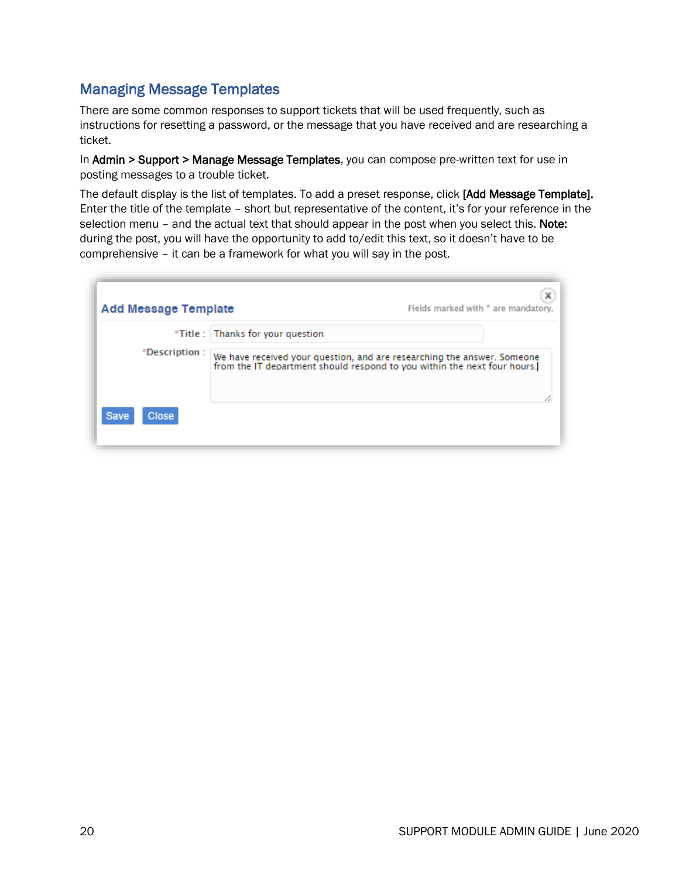#### <span id="page-19-0"></span>Managing Message Templates

There are some common responses to support tickets that will be used frequently, such as instructions for resetting a password, or the message that you have received and are researching a ticket.

In Admin > Support > Manage Message Templates, you can compose pre-written text for use in posting messages to a trouble ticket.

The default display is the list of templates. To add a preset response, click [Add Message Template]. Enter the title of the template – short but representative of the content, it's for your reference in the selection menu - and the actual text that should appear in the post when you select this. Note: during the post, you will have the opportunity to add to/edit this text, so it doesn't have to be comprehensive – it can be a framework for what you will say in the post.

| <b>Add Message Template</b> |                                   | х<br>Fields marked with * are mandatory.                                                                                                            |
|-----------------------------|-----------------------------------|-----------------------------------------------------------------------------------------------------------------------------------------------------|
|                             | *Title : Thanks for your question |                                                                                                                                                     |
| *Description:               |                                   | We have received your question, and are researching the answer. Someone<br>from the IT department should respond to you within the next four hours. |
| <b>Close</b><br><b>Save</b> |                                   |                                                                                                                                                     |